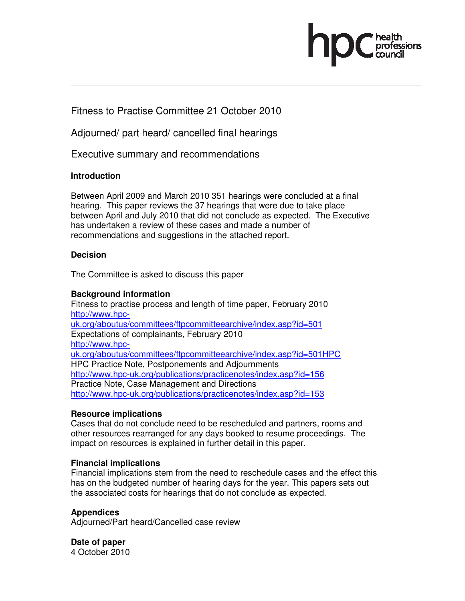

Fitness to Practise Committee 21 October 2010

Adjourned/ part heard/ cancelled final hearings

Executive summary and recommendations

### **Introduction**

Between April 2009 and March 2010 351 hearings were concluded at a final hearing. This paper reviews the 37 hearings that were due to take place between April and July 2010 that did not conclude as expected. The Executive has undertaken a review of these cases and made a number of recommendations and suggestions in the attached report.

## **Decision**

The Committee is asked to discuss this paper

### **Background information**

Fitness to practise process and length of time paper, February 2010 http://www.hpcuk.org/aboutus/committees/ftpcommitteearchive/index.asp?id=501 Expectations of complainants, February 2010 http://www.hpcuk.org/aboutus/committees/ftpcommitteearchive/index.asp?id=501HPC HPC Practice Note, Postponements and Adjournments http://www.hpc-uk.org/publications/practicenotes/index.asp?id=156 Practice Note, Case Management and Directions http://www.hpc-uk.org/publications/practicenotes/index.asp?id=153

### **Resource implications**

Cases that do not conclude need to be rescheduled and partners, rooms and other resources rearranged for any days booked to resume proceedings. The impact on resources is explained in further detail in this paper.

### **Financial implications**

Financial implications stem from the need to reschedule cases and the effect this has on the budgeted number of hearing days for the year. This papers sets out the associated costs for hearings that do not conclude as expected.

### **Appendices**

Adjourned/Part heard/Cancelled case review

**Date of paper**  4 October 2010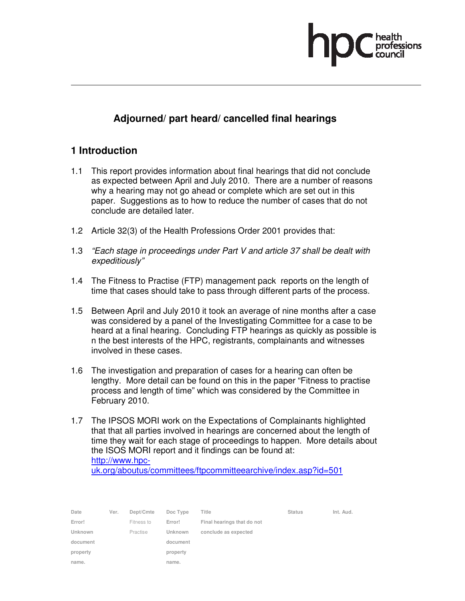

# **Adjourned/ part heard/ cancelled final hearings**

## **1 Introduction**

- 1.1 This report provides information about final hearings that did not conclude as expected between April and July 2010. There are a number of reasons why a hearing may not go ahead or complete which are set out in this paper. Suggestions as to how to reduce the number of cases that do not conclude are detailed later.
- 1.2 Article 32(3) of the Health Professions Order 2001 provides that:
- 1.3 "Each stage in proceedings under Part V and article 37 shall be dealt with expeditiously"
- 1.4 The Fitness to Practise (FTP) management pack reports on the length of time that cases should take to pass through different parts of the process.
- 1.5 Between April and July 2010 it took an average of nine months after a case was considered by a panel of the Investigating Committee for a case to be heard at a final hearing. Concluding FTP hearings as quickly as possible is n the best interests of the HPC, registrants, complainants and witnesses involved in these cases.
- 1.6 The investigation and preparation of cases for a hearing can often be lengthy. More detail can be found on this in the paper "Fitness to practise process and length of time" which was considered by the Committee in February 2010.
- 1.7 The IPSOS MORI work on the Expectations of Complainants highlighted that that all parties involved in hearings are concerned about the length of time they wait for each stage of proceedings to happen. More details about the ISOS MORI report and it findings can be found at: http://www.hpc-

uk.org/aboutus/committees/ftpcommitteearchive/index.asp?id=501

| Date     | Ver. | Dept/Cmte  | Doc Type       | Title                      | <b>Status</b> | Int. Aud. |
|----------|------|------------|----------------|----------------------------|---------------|-----------|
| Error!   |      | Fitness to | Error!         | Final hearings that do not |               |           |
| Unknown  |      | Practise   | <b>Unknown</b> | conclude as expected       |               |           |
| document |      |            | document       |                            |               |           |
| property |      |            | property       |                            |               |           |
| name.    |      |            | name.          |                            |               |           |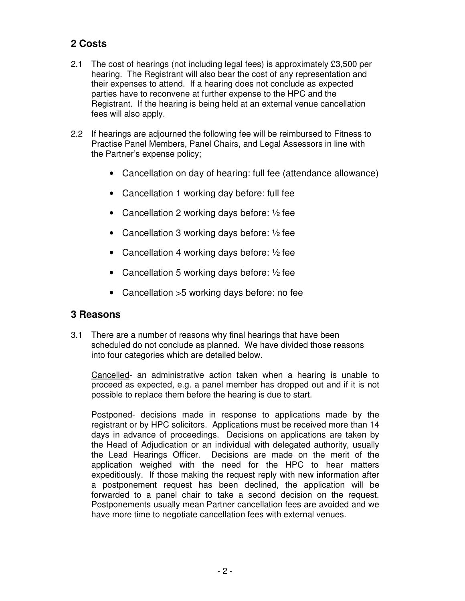# **2 Costs**

- 2.1 The cost of hearings (not including legal fees) is approximately £3,500 per hearing. The Registrant will also bear the cost of any representation and their expenses to attend. If a hearing does not conclude as expected parties have to reconvene at further expense to the HPC and the Registrant. If the hearing is being held at an external venue cancellation fees will also apply.
- 2.2 If hearings are adjourned the following fee will be reimbursed to Fitness to Practise Panel Members, Panel Chairs, and Legal Assessors in line with the Partner's expense policy;
	- Cancellation on day of hearing: full fee (attendance allowance)
	- Cancellation 1 working day before: full fee
	- Cancellation 2 working days before:  $\frac{1}{2}$  fee
	- Cancellation 3 working days before:  $\frac{1}{2}$  fee
	- Cancellation 4 working days before:  $\frac{1}{2}$  fee
	- Cancellation 5 working days before:  $\frac{1}{2}$  fee
	- Cancellation >5 working days before: no fee

## **3 Reasons**

3.1 There are a number of reasons why final hearings that have been scheduled do not conclude as planned. We have divided those reasons into four categories which are detailed below.

Cancelled- an administrative action taken when a hearing is unable to proceed as expected, e.g. a panel member has dropped out and if it is not possible to replace them before the hearing is due to start.

Postponed- decisions made in response to applications made by the registrant or by HPC solicitors. Applications must be received more than 14 days in advance of proceedings. Decisions on applications are taken by the Head of Adjudication or an individual with delegated authority, usually the Lead Hearings Officer. Decisions are made on the merit of the application weighed with the need for the HPC to hear matters expeditiously. If those making the request reply with new information after a postponement request has been declined, the application will be forwarded to a panel chair to take a second decision on the request. Postponements usually mean Partner cancellation fees are avoided and we have more time to negotiate cancellation fees with external venues.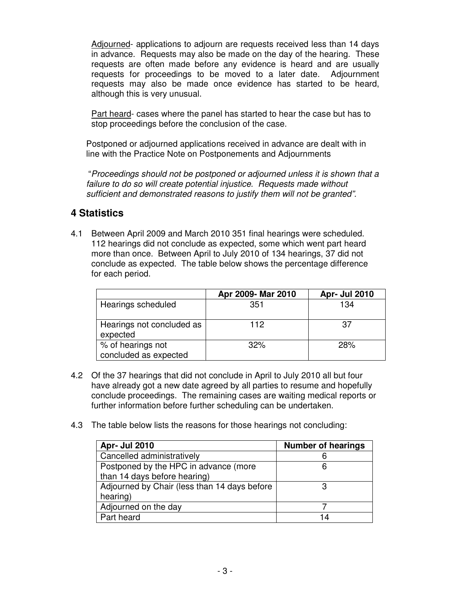Adjourned- applications to adjourn are requests received less than 14 days in advance. Requests may also be made on the day of the hearing. These requests are often made before any evidence is heard and are usually requests for proceedings to be moved to a later date. Adjournment requests may also be made once evidence has started to be heard, although this is very unusual.

Part heard- cases where the panel has started to hear the case but has to stop proceedings before the conclusion of the case.

Postponed or adjourned applications received in advance are dealt with in line with the Practice Note on Postponements and Adjournments

"Proceedings should not be postponed or adjourned unless it is shown that a failure to do so will create potential injustice. Requests made without sufficient and demonstrated reasons to justify them will not be granted".

## **4 Statistics**

4.1 Between April 2009 and March 2010 351 final hearings were scheduled. 112 hearings did not conclude as expected, some which went part heard more than once. Between April to July 2010 of 134 hearings, 37 did not conclude as expected. The table below shows the percentage difference for each period.

|                                            | Apr 2009- Mar 2010 | <b>Apr- Jul 2010</b> |
|--------------------------------------------|--------------------|----------------------|
| Hearings scheduled                         | 351                | 134                  |
| Hearings not concluded as<br>expected      | 112                | 37                   |
| % of hearings not<br>concluded as expected | 32%                | 28%                  |

- 4.2 Of the 37 hearings that did not conclude in April to July 2010 all but four have already got a new date agreed by all parties to resume and hopefully conclude proceedings. The remaining cases are waiting medical reports or further information before further scheduling can be undertaken.
- 4.3 The table below lists the reasons for those hearings not concluding:

| <b>Apr- Jul 2010</b>                         | <b>Number of hearings</b> |
|----------------------------------------------|---------------------------|
| Cancelled administratively                   |                           |
| Postponed by the HPC in advance (more        |                           |
| than 14 days before hearing)                 |                           |
| Adjourned by Chair (less than 14 days before |                           |
| hearing)                                     |                           |
| Adjourned on the day                         |                           |
| Part heard                                   | 14                        |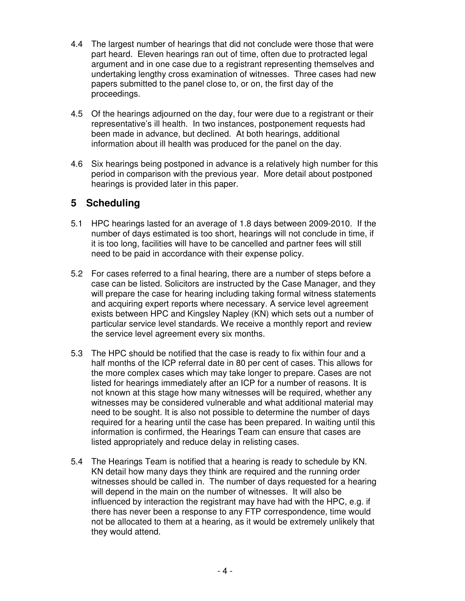- 4.4 The largest number of hearings that did not conclude were those that were part heard. Eleven hearings ran out of time, often due to protracted legal argument and in one case due to a registrant representing themselves and undertaking lengthy cross examination of witnesses. Three cases had new papers submitted to the panel close to, or on, the first day of the proceedings.
- 4.5 Of the hearings adjourned on the day, four were due to a registrant or their representative's ill health. In two instances, postponement requests had been made in advance, but declined. At both hearings, additional information about ill health was produced for the panel on the day.
- 4.6 Six hearings being postponed in advance is a relatively high number for this period in comparison with the previous year. More detail about postponed hearings is provided later in this paper.

## **5 Scheduling**

- 5.1 HPC hearings lasted for an average of 1.8 days between 2009-2010. If the number of days estimated is too short, hearings will not conclude in time, if it is too long, facilities will have to be cancelled and partner fees will still need to be paid in accordance with their expense policy.
- 5.2 For cases referred to a final hearing, there are a number of steps before a case can be listed. Solicitors are instructed by the Case Manager, and they will prepare the case for hearing including taking formal witness statements and acquiring expert reports where necessary. A service level agreement exists between HPC and Kingsley Napley (KN) which sets out a number of particular service level standards. We receive a monthly report and review the service level agreement every six months.
- 5.3 The HPC should be notified that the case is ready to fix within four and a half months of the ICP referral date in 80 per cent of cases. This allows for the more complex cases which may take longer to prepare. Cases are not listed for hearings immediately after an ICP for a number of reasons. It is not known at this stage how many witnesses will be required, whether any witnesses may be considered vulnerable and what additional material may need to be sought. It is also not possible to determine the number of days required for a hearing until the case has been prepared. In waiting until this information is confirmed, the Hearings Team can ensure that cases are listed appropriately and reduce delay in relisting cases.
- 5.4 The Hearings Team is notified that a hearing is ready to schedule by KN. KN detail how many days they think are required and the running order witnesses should be called in. The number of days requested for a hearing will depend in the main on the number of witnesses. It will also be influenced by interaction the registrant may have had with the HPC, e.g. if there has never been a response to any FTP correspondence, time would not be allocated to them at a hearing, as it would be extremely unlikely that they would attend.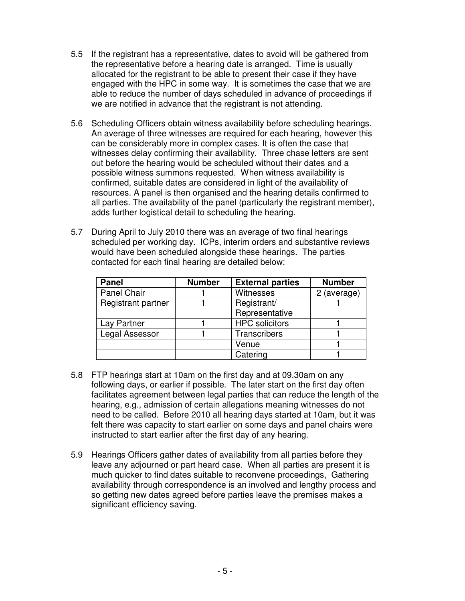- 5.5 If the registrant has a representative, dates to avoid will be gathered from the representative before a hearing date is arranged. Time is usually allocated for the registrant to be able to present their case if they have engaged with the HPC in some way. It is sometimes the case that we are able to reduce the number of days scheduled in advance of proceedings if we are notified in advance that the registrant is not attending.
- 5.6 Scheduling Officers obtain witness availability before scheduling hearings. An average of three witnesses are required for each hearing, however this can be considerably more in complex cases. It is often the case that witnesses delay confirming their availability. Three chase letters are sent out before the hearing would be scheduled without their dates and a possible witness summons requested. When witness availability is confirmed, suitable dates are considered in light of the availability of resources. A panel is then organised and the hearing details confirmed to all parties. The availability of the panel (particularly the registrant member), adds further logistical detail to scheduling the hearing.
- 5.7 During April to July 2010 there was an average of two final hearings scheduled per working day. ICPs, interim orders and substantive reviews would have been scheduled alongside these hearings. The parties contacted for each final hearing are detailed below:

| <b>Panel</b>       | <b>Number</b> | <b>External parties</b> | <b>Number</b> |
|--------------------|---------------|-------------------------|---------------|
| Panel Chair        |               | Witnesses               | 2 (average)   |
| Registrant partner |               | Registrant/             |               |
|                    |               | Representative          |               |
| Lay Partner        |               | <b>HPC</b> solicitors   |               |
| Legal Assessor     |               | Transcribers            |               |
|                    |               | Venue                   |               |
|                    |               | Catering                |               |

- 5.8 FTP hearings start at 10am on the first day and at 09.30am on any following days, or earlier if possible. The later start on the first day often facilitates agreement between legal parties that can reduce the length of the hearing, e.g., admission of certain allegations meaning witnesses do not need to be called. Before 2010 all hearing days started at 10am, but it was felt there was capacity to start earlier on some days and panel chairs were instructed to start earlier after the first day of any hearing.
- 5.9 Hearings Officers gather dates of availability from all parties before they leave any adjourned or part heard case. When all parties are present it is much quicker to find dates suitable to reconvene proceedings, Gathering availability through correspondence is an involved and lengthy process and so getting new dates agreed before parties leave the premises makes a significant efficiency saving.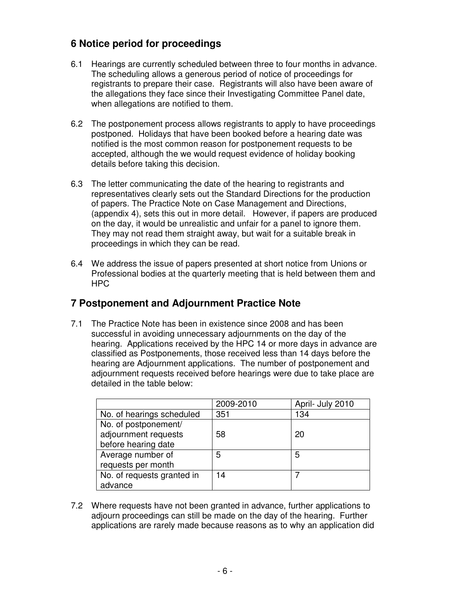# **6 Notice period for proceedings**

- 6.1 Hearings are currently scheduled between three to four months in advance. The scheduling allows a generous period of notice of proceedings for registrants to prepare their case. Registrants will also have been aware of the allegations they face since their Investigating Committee Panel date, when allegations are notified to them.
- 6.2 The postponement process allows registrants to apply to have proceedings postponed. Holidays that have been booked before a hearing date was notified is the most common reason for postponement requests to be accepted, although the we would request evidence of holiday booking details before taking this decision.
- 6.3 The letter communicating the date of the hearing to registrants and representatives clearly sets out the Standard Directions for the production of papers. The Practice Note on Case Management and Directions, (appendix 4), sets this out in more detail. However, if papers are produced on the day, it would be unrealistic and unfair for a panel to ignore them. They may not read them straight away, but wait for a suitable break in proceedings in which they can be read.
- 6.4 We address the issue of papers presented at short notice from Unions or Professional bodies at the quarterly meeting that is held between them and HPC

## **7 Postponement and Adjournment Practice Note**

7.1 The Practice Note has been in existence since 2008 and has been successful in avoiding unnecessary adjournments on the day of the hearing. Applications received by the HPC 14 or more days in advance are classified as Postponements, those received less than 14 days before the hearing are Adjournment applications. The number of postponement and adjournment requests received before hearings were due to take place are detailed in the table below:

|                            | 2009-2010 | April- July 2010 |
|----------------------------|-----------|------------------|
| No. of hearings scheduled  | 351       | 134              |
| No. of postponement/       |           |                  |
| adjournment requests       | 58        | 20               |
| before hearing date        |           |                  |
| Average number of          | 5         | 5                |
| requests per month         |           |                  |
| No. of requests granted in | 14        |                  |
| advance                    |           |                  |

7.2 Where requests have not been granted in advance, further applications to adjourn proceedings can still be made on the day of the hearing. Further applications are rarely made because reasons as to why an application did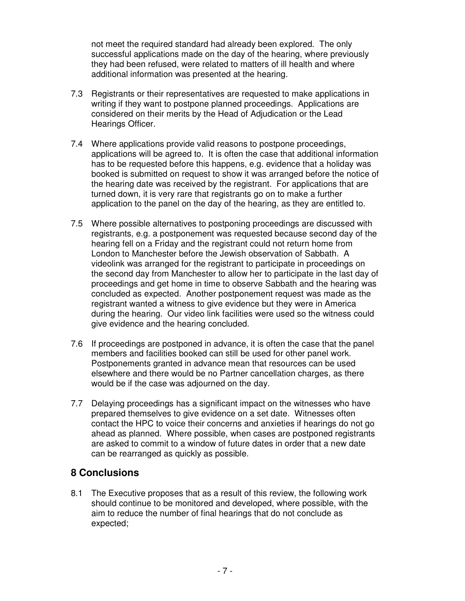not meet the required standard had already been explored. The only successful applications made on the day of the hearing, where previously they had been refused, were related to matters of ill health and where additional information was presented at the hearing.

- 7.3 Registrants or their representatives are requested to make applications in writing if they want to postpone planned proceedings. Applications are considered on their merits by the Head of Adjudication or the Lead Hearings Officer.
- 7.4 Where applications provide valid reasons to postpone proceedings, applications will be agreed to. It is often the case that additional information has to be requested before this happens, e.g. evidence that a holiday was booked is submitted on request to show it was arranged before the notice of the hearing date was received by the registrant. For applications that are turned down, it is very rare that registrants go on to make a further application to the panel on the day of the hearing, as they are entitled to.
- 7.5 Where possible alternatives to postponing proceedings are discussed with registrants, e.g. a postponement was requested because second day of the hearing fell on a Friday and the registrant could not return home from London to Manchester before the Jewish observation of Sabbath. A videolink was arranged for the registrant to participate in proceedings on the second day from Manchester to allow her to participate in the last day of proceedings and get home in time to observe Sabbath and the hearing was concluded as expected. Another postponement request was made as the registrant wanted a witness to give evidence but they were in America during the hearing. Our video link facilities were used so the witness could give evidence and the hearing concluded.
- 7.6 If proceedings are postponed in advance, it is often the case that the panel members and facilities booked can still be used for other panel work. Postponements granted in advance mean that resources can be used elsewhere and there would be no Partner cancellation charges, as there would be if the case was adjourned on the day.
- 7.7 Delaying proceedings has a significant impact on the witnesses who have prepared themselves to give evidence on a set date. Witnesses often contact the HPC to voice their concerns and anxieties if hearings do not go ahead as planned. Where possible, when cases are postponed registrants are asked to commit to a window of future dates in order that a new date can be rearranged as quickly as possible.

## **8 Conclusions**

8.1 The Executive proposes that as a result of this review, the following work should continue to be monitored and developed, where possible, with the aim to reduce the number of final hearings that do not conclude as expected;